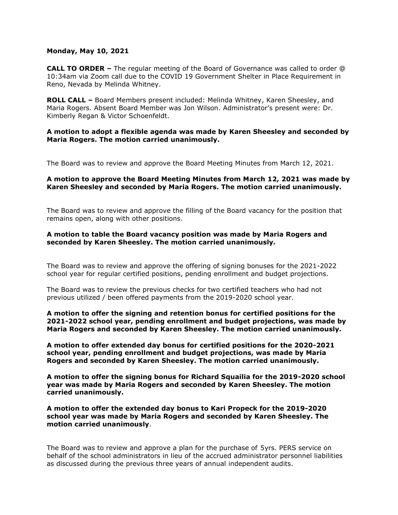### **Monday, May 10, 2021**

**CALL TO ORDER –** The regular meeting of the Board of Governance was called to order @ 10:34am via Zoom call due to the COVID 19 Government Shelter in Place Requirement in Reno, Nevada by Melinda Whitney.

**ROLL CALL –** Board Members present included: Melinda Whitney, Karen Sheesley, and Maria Rogers. Absent Board Member was Jon Wilson. Administrator's present were: Dr. Kimberly Regan & Victor Schoenfeldt.

## **A motion to adopt a flexible agenda was made by Karen Sheesley and seconded by Maria Rogers. The motion carried unanimously.**

The Board was to review and approve the Board Meeting Minutes from March 12, 2021.

# **A motion to approve the Board Meeting Minutes from March 12, 2021 was made by Karen Sheesley and seconded by Maria Rogers. The motion carried unanimously.**

The Board was to review and approve the filling of the Board vacancy for the position that remains open, along with other positions.

# **A motion to table the Board vacancy position was made by Maria Rogers and seconded by Karen Sheesley. The motion carried unanimously.**

The Board was to review and approve the offering of signing bonuses for the 2021-2022 school year for regular certified positions, pending enrollment and budget projections.

The Board was to review the previous checks for two certified teachers who had not previous utilized / been offered payments from the 2019-2020 school year.

**A motion to offer the signing and retention bonus for certified positions for the 2021-2022 school year, pending enrollment and budget projections, was made by Maria Rogers and seconded by Karen Sheesley. The motion carried unanimously.** 

**A motion to offer extended day bonus for certified positions for the 2020-2021 school year, pending enrollment and budget projections, was made by Maria Rogers and seconded by Karen Sheesley. The motion carried unanimously.**

**A motion to offer the signing bonus for Richard Squailia for the 2019-2020 school year was made by Maria Rogers and seconded by Karen Sheesley. The motion carried unanimously.** 

**A motion to offer the extended day bonus to Kari Propeck for the 2019-2020 school year was made by Maria Rogers and seconded by Karen Sheesley. The motion carried unanimously**.

The Board was to review and approve a plan for the purchase of 5yrs. PERS service on behalf of the school administrators in lieu of the accrued administrator personnel liabilities as discussed during the previous three years of annual independent audits.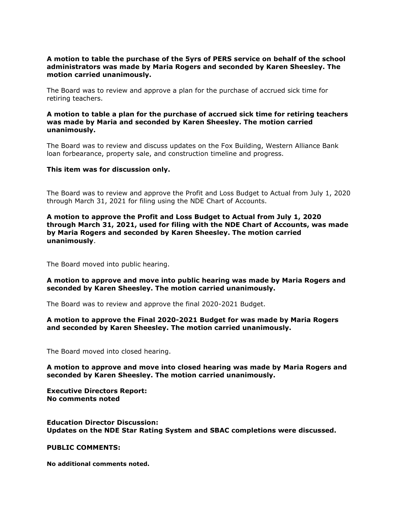# **A motion to table the purchase of the 5yrs of PERS service on behalf of the school administrators was made by Maria Rogers and seconded by Karen Sheesley. The motion carried unanimously.**

The Board was to review and approve a plan for the purchase of accrued sick time for retiring teachers.

# **A motion to table a plan for the purchase of accrued sick time for retiring teachers was made by Maria and seconded by Karen Sheesley. The motion carried unanimously.**

The Board was to review and discuss updates on the Fox Building, Western Alliance Bank loan forbearance, property sale, and construction timeline and progress.

#### **This item was for discussion only.**

The Board was to review and approve the Profit and Loss Budget to Actual from July 1, 2020 through March 31, 2021 for filing using the NDE Chart of Accounts.

**A motion to approve the Profit and Loss Budget to Actual from July 1, 2020 through March 31, 2021, used for filing with the NDE Chart of Accounts, was made by Maria Rogers and seconded by Karen Sheesley. The motion carried unanimously**.

The Board moved into public hearing.

## **A motion to approve and move into public hearing was made by Maria Rogers and seconded by Karen Sheesley. The motion carried unanimously.**

The Board was to review and approve the final 2020-2021 Budget.

## **A motion to approve the Final 2020-2021 Budget for was made by Maria Rogers and seconded by Karen Sheesley. The motion carried unanimously.**

The Board moved into closed hearing.

## **A motion to approve and move into closed hearing was made by Maria Rogers and seconded by Karen Sheesley. The motion carried unanimously.**

**Executive Directors Report: No comments noted**

#### **Education Director Discussion: Updates on the NDE Star Rating System and SBAC completions were discussed.**

#### **PUBLIC COMMENTS:**

**No additional comments noted.**